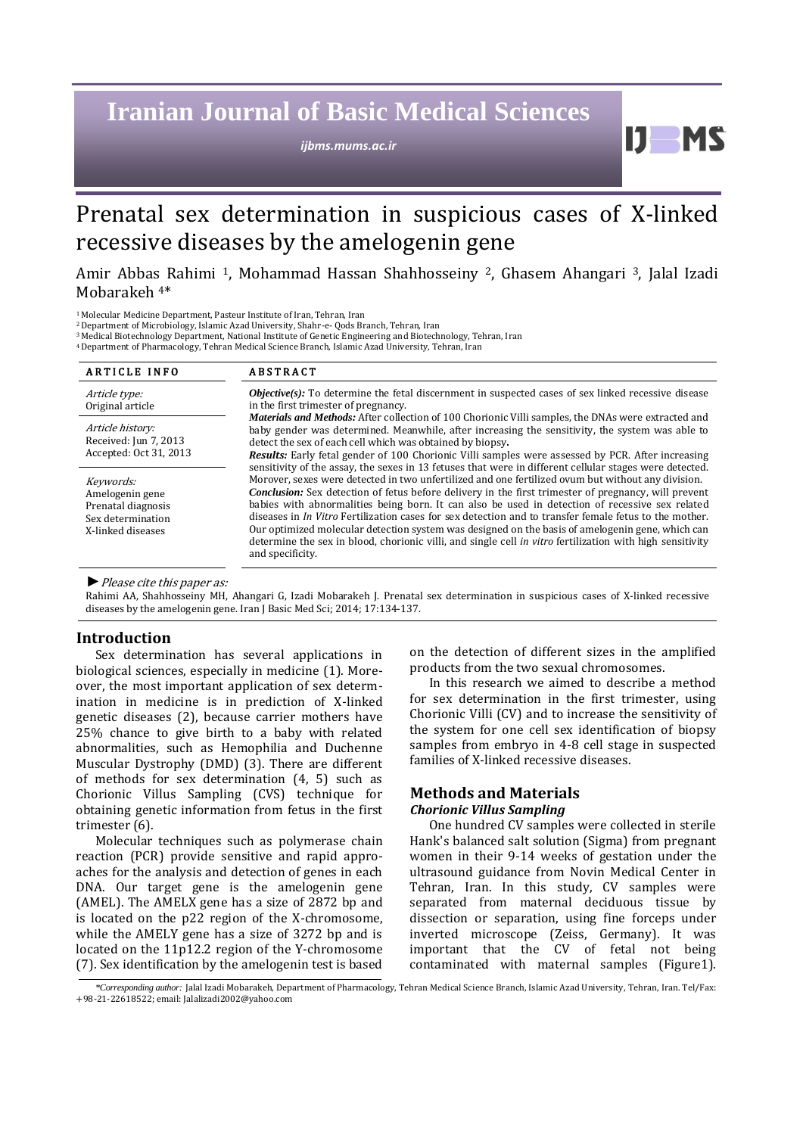# **Iranian Journal of Basic Medical Sciences**

*ijbms.mums.ac.ir*

Prenatal sex determination in suspicious cases of X-linked recessive diseases by the amelogenin gene

Amir Abbas Rahimi 1, Mohammad Hassan Shahhosseiny 2, Ghasem Ahangari 3, Jalal Izadi Mobarakeh 4\*

<sup>1</sup>Molecular Medicine Department, Pasteur Institute of Iran, Tehran, Iran

<sup>2</sup>Department of Microbiology, Islamic Azad University, Shahr-e- Qods Branch, Tehran, Iran

<sup>3</sup>Medical Biotechnology Department, National Institute of Genetic Engineering and Biotechnology, Tehran, Iran

<sup>4</sup>Department of Pharmacology, Tehran Medical Science Branch, Islamic Azad University, Tehran, Iran

| <b>ARTICLE INFO</b>                                                                          | <b>ABSTRACT</b>                                                                                                                                                                                                                                                                                                                                                                                                                                                                                                                                                                                                                                                                                                                                                                                                                                                                                                                                                                                                                                                                                                                                                                                                                                                                                                                        |
|----------------------------------------------------------------------------------------------|----------------------------------------------------------------------------------------------------------------------------------------------------------------------------------------------------------------------------------------------------------------------------------------------------------------------------------------------------------------------------------------------------------------------------------------------------------------------------------------------------------------------------------------------------------------------------------------------------------------------------------------------------------------------------------------------------------------------------------------------------------------------------------------------------------------------------------------------------------------------------------------------------------------------------------------------------------------------------------------------------------------------------------------------------------------------------------------------------------------------------------------------------------------------------------------------------------------------------------------------------------------------------------------------------------------------------------------|
| Article type:<br>Original article                                                            | <b><i>Objective(s)</i></b> : To determine the fetal discernment in suspected cases of sex linked recessive disease<br>in the first trimester of pregnancy.<br><b>Materials and Methods:</b> After collection of 100 Chorionic Villi samples, the DNAs were extracted and<br>baby gender was determined. Meanwhile, after increasing the sensitivity, the system was able to<br>detect the sex of each cell which was obtained by biopsy.<br>Results: Early fetal gender of 100 Chorionic Villi samples were assessed by PCR. After increasing<br>sensitivity of the assay, the sexes in 13 fetuses that were in different cellular stages were detected.<br>Morover, sexes were detected in two unfertilized and one fertilized ovum but without any division.<br><b>Conclusion:</b> Sex detection of fetus before delivery in the first trimester of pregnancy, will prevent<br>babies with abnormalities being born. It can also be used in detection of recessive sex related<br>diseases in <i>In Vitro</i> Fertilization cases for sex detection and to transfer female fetus to the mother.<br>Our optimized molecular detection system was designed on the basis of amelogenin gene, which can<br>determine the sex in blood, chorionic villi, and single cell in vitro fertilization with high sensitivity<br>and specificity. |
| Article history:<br>Received: Jun 7, 2013<br>Accepted: Oct 31, 2013                          |                                                                                                                                                                                                                                                                                                                                                                                                                                                                                                                                                                                                                                                                                                                                                                                                                                                                                                                                                                                                                                                                                                                                                                                                                                                                                                                                        |
| Keywords:<br>Amelogenin gene<br>Prenatal diagnosis<br>Sex determination<br>X-linked diseases |                                                                                                                                                                                                                                                                                                                                                                                                                                                                                                                                                                                                                                                                                                                                                                                                                                                                                                                                                                                                                                                                                                                                                                                                                                                                                                                                        |

*►*Please cite this paper as:

Rahimi AA, Shahhosseiny MH, Ahangari G, Izadi Mobarakeh J. Prenatal sex determination in suspicious cases of X-linked recessive diseases by the amelogenin gene. Iran J Basic Med Sci; 2014; 17:134-137.

#### **Introduction**

Sex determination has several applications in biological sciences, especially in medicine (1). Moreover, the most important application of sex determination in medicine is in prediction of X-linked genetic diseases (2), because carrier mothers have 25% chance to give birth to a baby with related abnormalities, such as Hemophilia and Duchenne Muscular Dystrophy (DMD) (3). There are different of methods for sex determination (4, 5) such as Chorionic Villus Sampling (CVS) technique for obtaining genetic information from fetus in the first trimester (6).

Molecular techniques such as polymerase chain reaction (PCR) provide sensitive and rapid approaches for the analysis and detection of genes in each DNA. Our target gene is the amelogenin gene (AMEL). The AMELX gene has a size of 2872 bp and is located on the p22 region of the X-chromosome, while the AMELY gene has a size of 3272 bp and is located on the 11p12.2 region of the Y-chromosome (7). Sex identification by the amelogenin test is based on the detection of different sizes in the amplified products from the two sexual chromosomes.

H

In this research we aimed to describe a method for sex determination in the first trimester, using Chorionic Villi (CV) and to increase the sensitivity of the system for one cell sex identification of biopsy samples from embryo in 4-8 cell stage in suspected families of X-linked recessive diseases.

## **Methods and Materials** *Chorionic Villus Sampling*

One hundred CV samples were collected in sterile Hank's balanced salt solution (Sigma) from pregnant women in their 9-14 weeks of gestation under the ultrasound guidance from Novin Medical Center in Tehran, Iran. In this study, CV samples were separated from maternal deciduous tissue by dissection or separation, using fine forceps under inverted microscope (Zeiss, Germany). It was important that the CV of fetal not being contaminated with maternal samples (Figure1).

*\*Corresponding author:* Jalal Izadi Mobarakeh, Department of Pharmacology, Tehran Medical Science Branch, Islamic Azad University, Tehran, Iran. Tel/Fax: +98-21-22618522; email: Jalalizadi2002@yahoo.com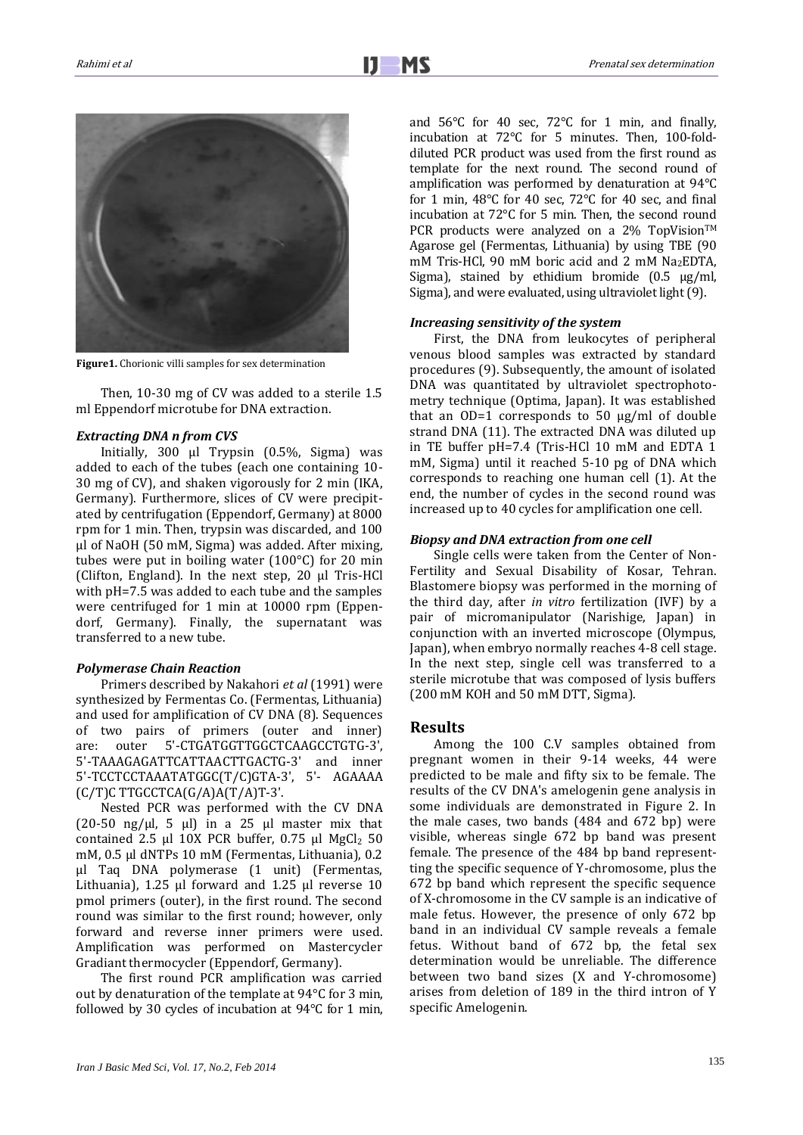

**Figure1.** Chorionic villi samples for sex determination

Then, 10-30 mg of CV was added to a sterile 1.5 ml Eppendorf microtube for DNA extraction.

#### *Extracting DNA n from CVS*

Initially, 300 µl Trypsin (0.5%, Sigma) was added to each of the tubes (each one containing 10- 30 mg of CV), and shaken vigorously for 2 min (IKA, Germany). Furthermore, slices of CV were precipitated by centrifugation (Eppendorf, Germany) at 8000 rpm for 1 min. Then, trypsin was discarded, and 100 µl of NaOH (50 mM, Sigma) was added. After mixing, tubes were put in boiling water (100°C) for 20 min (Clifton, England). In the next step, 20 µl Tris-HCl with pH=7.5 was added to each tube and the samples were centrifuged for 1 min at 10000 rpm (Eppendorf, Germany). Finally, the supernatant was transferred to a new tube.

#### *Polymerase Chain Reaction*

Primers described by Nakahori *et al* (1991) were synthesized by Fermentas Co. (Fermentas, Lithuania) and used for amplification of CV DNA (8). Sequences of two pairs of primers (outer and inner) are: outer 5'-CTGATGGTTGGCTCAAGCCTGTG-3', 5'-TAAAGAGATTCATTAACTTGACTG-3' and inner 5'-TCCTCCTAAATATGGC(T/C)GTA-3', 5'- AGAAAA (C/T)C TTGCCTCA(G/A)A(T/A)T-3'.

Nested PCR was performed with the CV DNA (20-50 ng/ $\mu$ l, 5  $\mu$ l) in a 25  $\mu$ l master mix that contained 2.5 µl 10X PCR buffer, 0.75 µl MgCl<sub>2</sub> 50 mM, 0.5 µl dNTPs 10 mM (Fermentas, Lithuania), 0.2 µl Taq DNA polymerase (1 unit) (Fermentas, Lithuania), 1.25 µl forward and 1.25 µl reverse 10 pmol primers (outer), in the first round. The second round was similar to the first round; however, only forward and reverse inner primers were used. Amplification was performed on Mastercycler Gradiant thermocycler (Eppendorf, Germany).

The first round PCR amplification was carried out by denaturation of the template at 94°C for 3 min, followed by 30 cycles of incubation at 94°C for 1 min, and 56°C for 40 sec, 72°C for 1 min, and finally, incubation at 72°C for 5 minutes. Then, 100-folddiluted PCR product was used from the first round as template for the next round. The second round of amplification was performed by denaturation at 94°C for 1 min, 48°C for 40 sec, 72°C for 40 sec, and final incubation at 72°C for 5 min. Then, the second round PCR products were analyzed on a  $2\%$  TopVision<sup>TM</sup> Agarose gel (Fermentas, Lithuania) by using TBE (90 mM Tris-HCl, 90 mM boric acid and 2 mM Na<sub>2</sub>EDTA, Sigma), stained by ethidium bromide (0.5 µg/ml, Sigma), and were evaluated, using ultraviolet light (9).

#### *Increasing sensitivity of the system*

First, the DNA from leukocytes of peripheral venous blood samples was extracted by standard procedures (9). Subsequently, the amount of isolated DNA was quantitated by ultraviolet spectrophotometry technique (Optima, Japan). It was established that an OD=1 corresponds to 50  $\mu$ g/ml of double strand DNA (11). The extracted DNA was diluted up in TE buffer pH=7.4 (Tris-HCl 10 mM and EDTA 1 mM, Sigma) until it reached 5-10 pg of DNA which corresponds to reaching one human cell (1). At the end, the number of cycles in the second round was increased up to 40 cycles for amplification one cell.

#### *Biopsy and DNA extraction from one cell*

Single cells were taken from the Center of Non-Fertility and Sexual Disability of Kosar, Tehran. Blastomere biopsy was performed in the morning of the third day, after *in vitro* fertilization (IVF) by a pair of micromanipulator (Narishige, Japan) in conjunction with an inverted microscope (Olympus, Japan), when embryo normally reaches 4-8 cell stage. In the next step, single cell was transferred to a sterile microtube that was composed of lysis buffers (200 mM KOH and 50 mM DTT, Sigma).

#### **Results**

Among the 100 C.V samples obtained from pregnant women in their 9-14 weeks, 44 were predicted to be male and fifty six to be female. The results of the CV DNA's amelogenin gene analysis in some individuals are demonstrated in Figure 2. In the male cases, two bands (484 and 672 bp) were visible, whereas single 672 bp band was present female. The presence of the 484 bp band representting the specific sequence of Y-chromosome, plus the 672 bp band which represent the specific sequence of X-chromosome in the CV sample is an indicative of male fetus. However, the presence of only 672 bp band in an individual CV sample reveals a female fetus. Without band of 672 bp, the fetal sex determination would be unreliable. The difference between two band sizes (X and Y-chromosome) arises from deletion of 189 in the third intron of Y specific Amelogenin.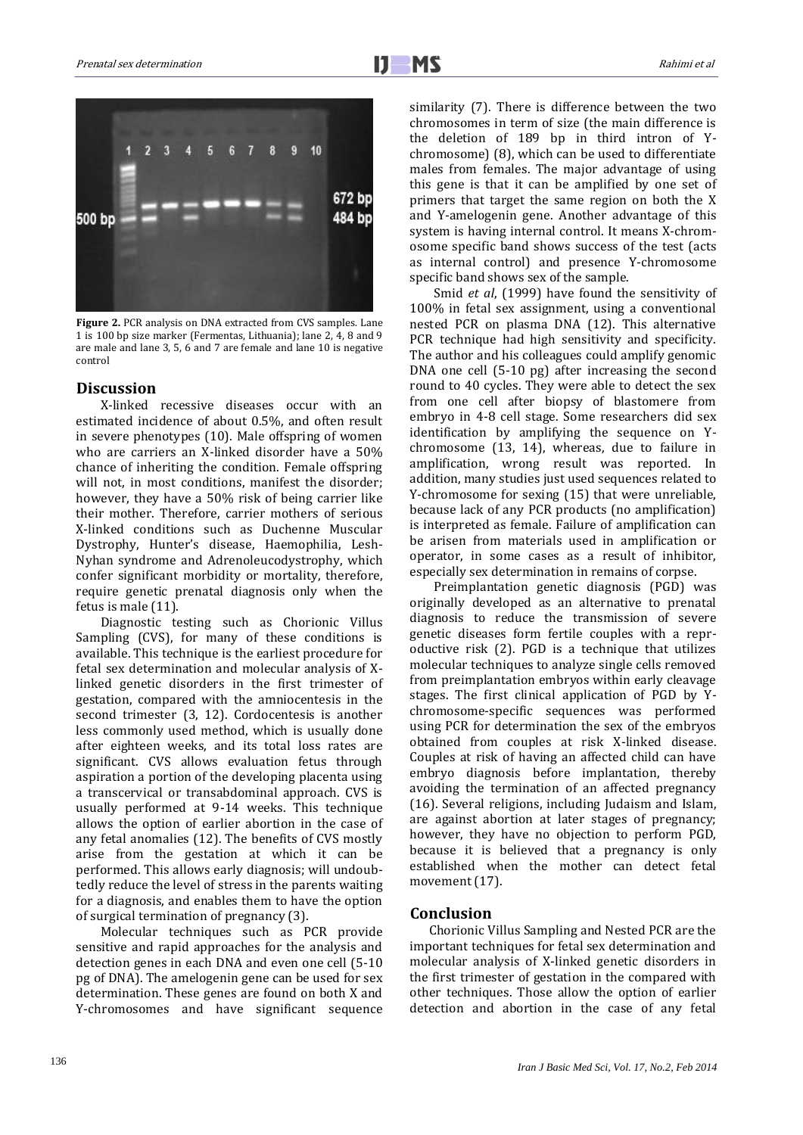

**Figure 2.** PCR analysis on DNA extracted from CVS samples. Lane 1 is 100 bp size marker (Fermentas, Lithuania); lane 2, 4, 8 and 9 are male and lane 3, 5, 6 and 7 are female and lane 10 is negative control

# **Discussion**

X-linked recessive diseases occur with an estimated incidence of about 0.5%, and often result in severe phenotypes (10). Male offspring of women who are carriers an X-linked disorder have a 50% chance of inheriting the condition. Female offspring will not, in most conditions, manifest the disorder; however, they have a 50% risk of being carrier like their mother. Therefore, carrier mothers of serious X-linked conditions such as Duchenne Muscular Dystrophy, Hunter's disease, Haemophilia, Lesh-Nyhan syndrome and Adrenoleucodystrophy, which confer significant morbidity or mortality, therefore, require genetic prenatal diagnosis only when the fetus is male (11).

Diagnostic testing such as Chorionic Villus Sampling (CVS), for many of these conditions is available. This technique is the earliest procedure for fetal sex determination and molecular analysis of Xlinked genetic disorders in the first trimester of gestation, compared with the amniocentesis in the second trimester (3, 12). Cordocentesis is another less commonly used method, which is usually done after eighteen weeks, and its total loss rates are significant. CVS allows evaluation fetus through aspiration a portion of the developing placenta using a transcervical or transabdominal approach. CVS is usually performed at 9-14 weeks. This technique allows the option of earlier abortion in the case of any fetal anomalies (12). The benefits of CVS mostly arise from the gestation at which it can be performed. This allows early diagnosis; will undoubtedly reduce the level of stress in the parents waiting for a diagnosis, and enables them to have the option of surgical termination of pregnancy (3).

Molecular techniques such as PCR provide sensitive and rapid approaches for the analysis and detection genes in each DNA and even one cell (5-10 pg of DNA). The amelogenin gene can be used for sex determination. These genes are found on both X and Y-chromosomes and have significant sequence similarity (7). There is difference between the two chromosomes in term of size (the main difference is the deletion of 189 bp in third intron of Ychromosome) (8), which can be used to differentiate males from females. The major advantage of using this gene is that it can be amplified by one set of primers that target the same region on both the X and Y-amelogenin gene. Another advantage of this system is having internal control. It means X-chromosome specific band shows success of the test (acts as internal control) and presence Y-chromosome specific band shows sex of the sample.

Smid *et al*, (1999) have found the sensitivity of 100% in fetal sex assignment, using a conventional nested PCR on plasma DNA (12). This alternative PCR technique had high sensitivity and specificity. The author and his colleagues could amplify genomic DNA one cell (5-10 pg) after increasing the second round to 40 cycles. They were able to detect the sex from one cell after biopsy of blastomere from embryo in 4-8 cell stage. Some researchers did sex identification by amplifying the sequence on Ychromosome (13, 14), whereas, due to failure in amplification, wrong result was reported. In addition, many studies just used sequences related to Y-chromosome for sexing (15) that were unreliable, because lack of any PCR products (no amplification) is interpreted as female. Failure of amplification can be arisen from materials used in amplification or operator, in some cases as a result of inhibitor, especially sex determination in remains of corpse.

Preimplantation genetic diagnosis (PGD) was originally developed as an alternative to prenatal diagnosis to reduce the transmission of severe genetic diseases form fertile couples with a reproductive risk (2). PGD is a technique that utilizes molecular techniques to analyze single cells removed from preimplantation embryos within early cleavage stages. The first clinical application of PGD by Ychromosome-specific sequences was performed using PCR for determination the sex of the embryos obtained from couples at risk X-linked disease. Couples at risk of having an affected child can have embryo diagnosis before implantation, thereby avoiding the termination of an affected pregnancy (16). Several religions, including Judaism and Islam, are against abortion at later stages of pregnancy; however, they have no objection to perform PGD, because it is believed that a pregnancy is only established when the mother can detect fetal movement (17).

# **Conclusion**

Chorionic Villus Sampling and Nested PCR are the important techniques for fetal sex determination and molecular analysis of X-linked genetic disorders in the first trimester of gestation in the compared with other techniques. Those allow the option of earlier detection and abortion in the case of any fetal